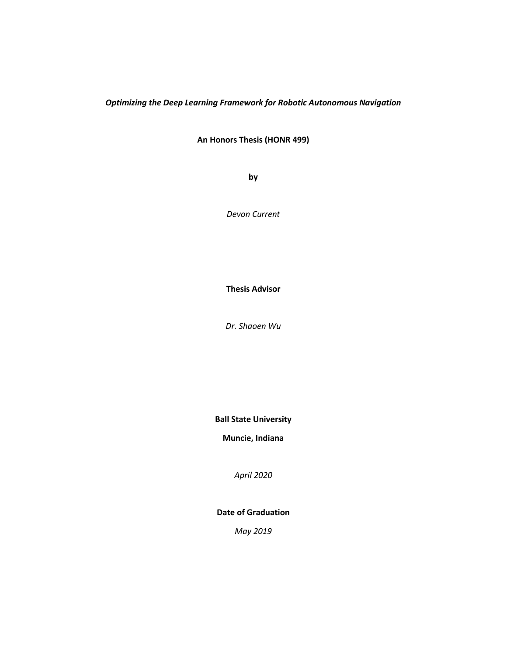# *Optimizing the Deep Learning Framework for Robotic Autonomous Navigation*

**An Honors Thesis (HONR 499)**

**by**

*Devon Current*

**Thesis Advisor**

*Dr. Shaoen Wu*

**Ball State University**

**Muncie, Indiana**

*April 2020*

**Date of Graduation**

*May 2019*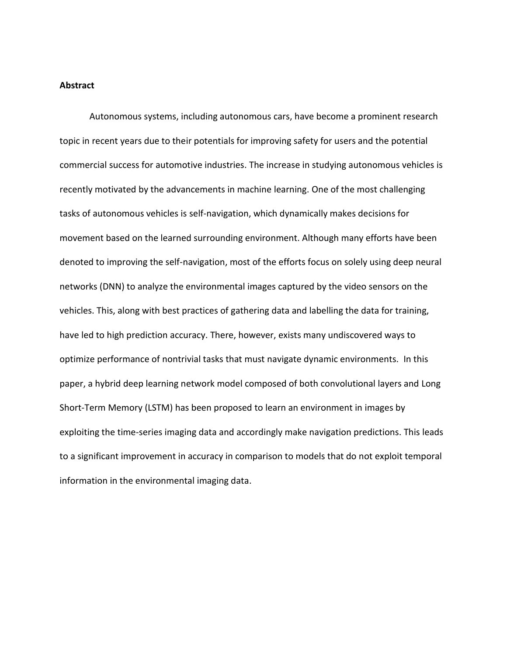### **Abstract**

Autonomous systems, including autonomous cars, have become a prominent research topic in recent years due to their potentials for improving safety for users and the potential commercial success for automotive industries. The increase in studying autonomous vehicles is recently motivated by the advancements in machine learning. One of the most challenging tasks of autonomous vehicles is self-navigation, which dynamically makes decisions for movement based on the learned surrounding environment. Although many efforts have been denoted to improving the self-navigation, most of the efforts focus on solely using deep neural networks (DNN) to analyze the environmental images captured by the video sensors on the vehicles. This, along with best practices of gathering data and labelling the data for training, have led to high prediction accuracy. There, however, exists many undiscovered ways to optimize performance of nontrivial tasks that must navigate dynamic environments. In this paper, a hybrid deep learning network model composed of both convolutional layers and Long Short-Term Memory (LSTM) has been proposed to learn an environment in images by exploiting the time-series imaging data and accordingly make navigation predictions. This leads to a significant improvement in accuracy in comparison to models that do not exploit temporal information in the environmental imaging data.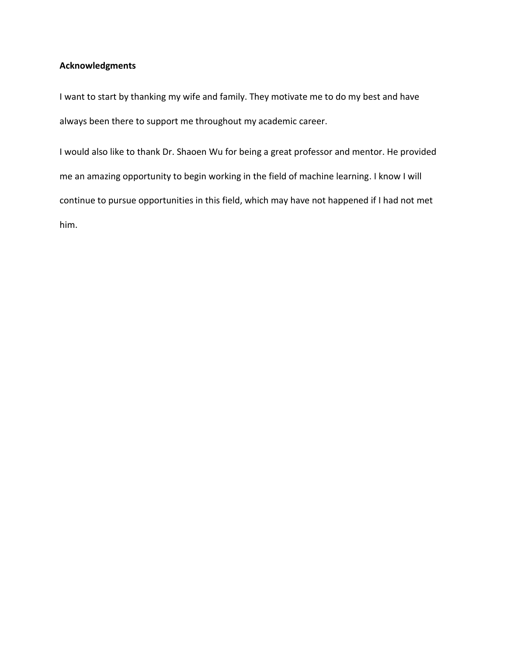# **Acknowledgments**

I want to start by thanking my wife and family. They motivate me to do my best and have always been there to support me throughout my academic career.

I would also like to thank Dr. Shaoen Wu for being a great professor and mentor. He provided me an amazing opportunity to begin working in the field of machine learning. I know I will continue to pursue opportunities in this field, which may have not happened if I had not met him.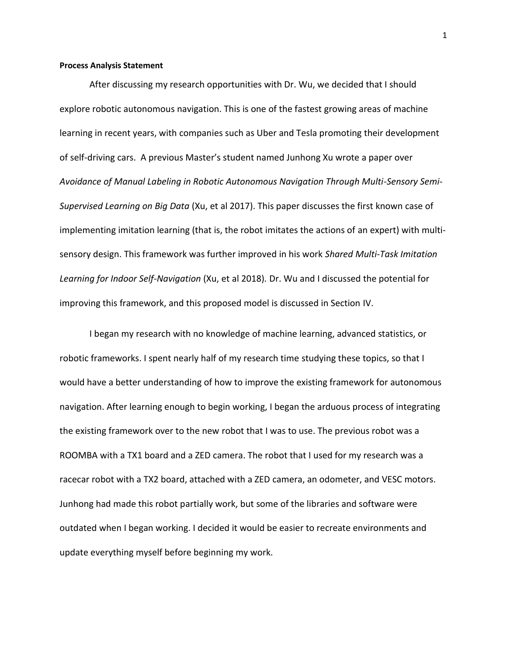#### **Process Analysis Statement**

After discussing my research opportunities with Dr. Wu, we decided that I should explore robotic autonomous navigation. This is one of the fastest growing areas of machine learning in recent years, with companies such as Uber and Tesla promoting their development of self-driving cars. A previous Master's student named Junhong Xu wrote a paper over *Avoidance of Manual Labeling in Robotic Autonomous Navigation Through Multi-Sensory Semi-Supervised Learning on Big Data* (Xu, et al 2017). This paper discusses the first known case of implementing imitation learning (that is, the robot imitates the actions of an expert) with multisensory design. This framework was further improved in his work *Shared Multi-Task Imitation Learning for Indoor Self-Navigation* (Xu, et al 2018)*.* Dr. Wu and I discussed the potential for improving this framework, and this proposed model is discussed in Section IV.

I began my research with no knowledge of machine learning, advanced statistics, or robotic frameworks. I spent nearly half of my research time studying these topics, so that I would have a better understanding of how to improve the existing framework for autonomous navigation. After learning enough to begin working, I began the arduous process of integrating the existing framework over to the new robot that I was to use. The previous robot was a ROOMBA with a TX1 board and a ZED camera. The robot that I used for my research was a racecar robot with a TX2 board, attached with a ZED camera, an odometer, and VESC motors. Junhong had made this robot partially work, but some of the libraries and software were outdated when I began working. I decided it would be easier to recreate environments and update everything myself before beginning my work.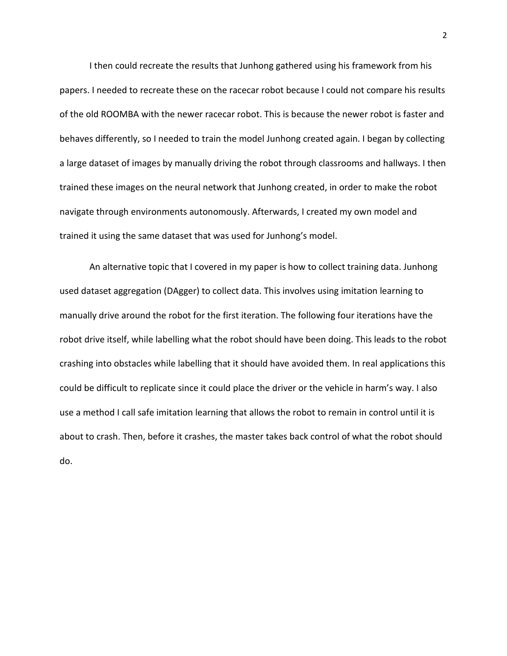I then could recreate the results that Junhong gathered using his framework from his papers. I needed to recreate these on the racecar robot because I could not compare his results of the old ROOMBA with the newer racecar robot. This is because the newer robot is faster and behaves differently, so I needed to train the model Junhong created again. I began by collecting a large dataset of images by manually driving the robot through classrooms and hallways. I then trained these images on the neural network that Junhong created, in order to make the robot navigate through environments autonomously. Afterwards, I created my own model and trained it using the same dataset that was used for Junhong's model.

An alternative topic that I covered in my paper is how to collect training data. Junhong used dataset aggregation (DAgger) to collect data. This involves using imitation learning to manually drive around the robot for the first iteration. The following four iterations have the robot drive itself, while labelling what the robot should have been doing. This leads to the robot crashing into obstacles while labelling that it should have avoided them. In real applications this could be difficult to replicate since it could place the driver or the vehicle in harm's way. I also use a method I call safe imitation learning that allows the robot to remain in control until it is about to crash. Then, before it crashes, the master takes back control of what the robot should do.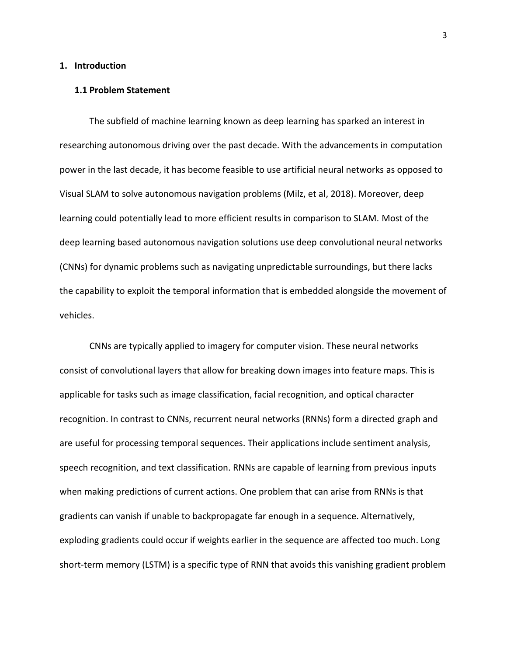#### **1. Introduction**

#### **1.1 Problem Statement**

The subfield of machine learning known as deep learning has sparked an interest in researching autonomous driving over the past decade. With the advancements in computation power in the last decade, it has become feasible to use artificial neural networks as opposed to Visual SLAM to solve autonomous navigation problems (Milz, et al, 2018). Moreover, deep learning could potentially lead to more efficient results in comparison to SLAM. Most of the deep learning based autonomous navigation solutions use deep convolutional neural networks (CNNs) for dynamic problems such as navigating unpredictable surroundings, but there lacks the capability to exploit the temporal information that is embedded alongside the movement of vehicles.

CNNs are typically applied to imagery for computer vision. These neural networks consist of convolutional layers that allow for breaking down images into feature maps. This is applicable for tasks such as image classification, facial recognition, and optical character recognition. In contrast to CNNs, recurrent neural networks (RNNs) form a directed graph and are useful for processing temporal sequences. Their applications include sentiment analysis, speech recognition, and text classification. RNNs are capable of learning from previous inputs when making predictions of current actions. One problem that can arise from RNNs is that gradients can vanish if unable to backpropagate far enough in a sequence. Alternatively, exploding gradients could occur if weights earlier in the sequence are affected too much. Long short-term memory (LSTM) is a specific type of RNN that avoids this vanishing gradient problem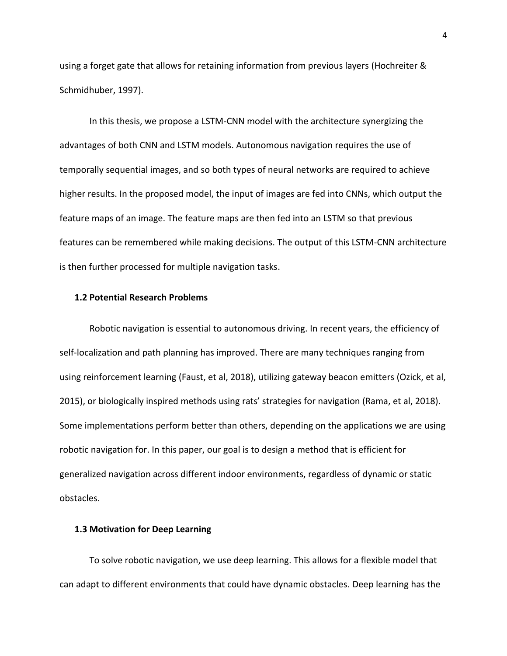using a forget gate that allows for retaining information from previous layers (Hochreiter & Schmidhuber, 1997).

In this thesis, we propose a LSTM-CNN model with the architecture synergizing the advantages of both CNN and LSTM models. Autonomous navigation requires the use of temporally sequential images, and so both types of neural networks are required to achieve higher results. In the proposed model, the input of images are fed into CNNs, which output the feature maps of an image. The feature maps are then fed into an LSTM so that previous features can be remembered while making decisions. The output of this LSTM-CNN architecture is then further processed for multiple navigation tasks.

### **1.2 Potential Research Problems**

Robotic navigation is essential to autonomous driving. In recent years, the efficiency of self-localization and path planning has improved. There are many techniques ranging from using reinforcement learning (Faust, et al, 2018), utilizing gateway beacon emitters (Ozick, et al, 2015), or biologically inspired methods using rats' strategies for navigation (Rama, et al, 2018). Some implementations perform better than others, depending on the applications we are using robotic navigation for. In this paper, our goal is to design a method that is efficient for generalized navigation across different indoor environments, regardless of dynamic or static obstacles.

## **1.3 Motivation for Deep Learning**

To solve robotic navigation, we use deep learning. This allows for a flexible model that can adapt to different environments that could have dynamic obstacles. Deep learning has the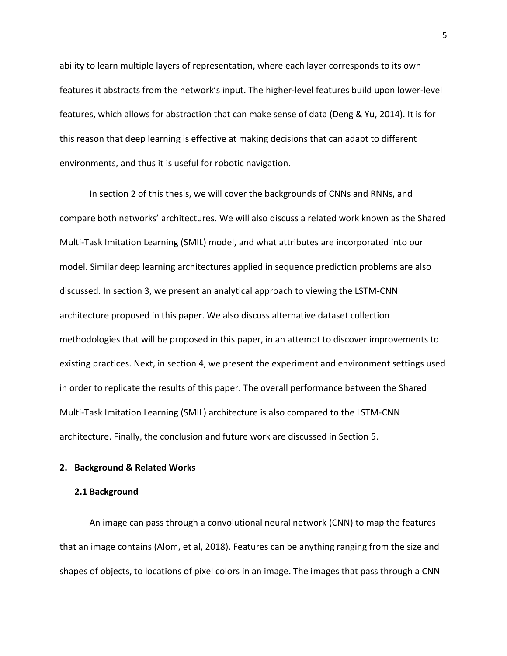ability to learn multiple layers of representation, where each layer corresponds to its own features it abstracts from the network's input. The higher-level features build upon lower-level features, which allows for abstraction that can make sense of data (Deng & Yu, 2014). It is for this reason that deep learning is effective at making decisions that can adapt to different environments, and thus it is useful for robotic navigation.

In section 2 of this thesis, we will cover the backgrounds of CNNs and RNNs, and compare both networks' architectures. We will also discuss a related work known as the Shared Multi-Task Imitation Learning (SMIL) model, and what attributes are incorporated into our model. Similar deep learning architectures applied in sequence prediction problems are also discussed. In section 3, we present an analytical approach to viewing the LSTM-CNN architecture proposed in this paper. We also discuss alternative dataset collection methodologies that will be proposed in this paper, in an attempt to discover improvements to existing practices. Next, in section 4, we present the experiment and environment settings used in order to replicate the results of this paper. The overall performance between the Shared Multi-Task Imitation Learning (SMIL) architecture is also compared to the LSTM-CNN architecture. Finally, the conclusion and future work are discussed in Section 5.

#### **2. Background & Related Works**

### **2.1 Background**

An image can pass through a convolutional neural network (CNN) to map the features that an image contains (Alom, et al, 2018). Features can be anything ranging from the size and shapes of objects, to locations of pixel colors in an image. The images that pass through a CNN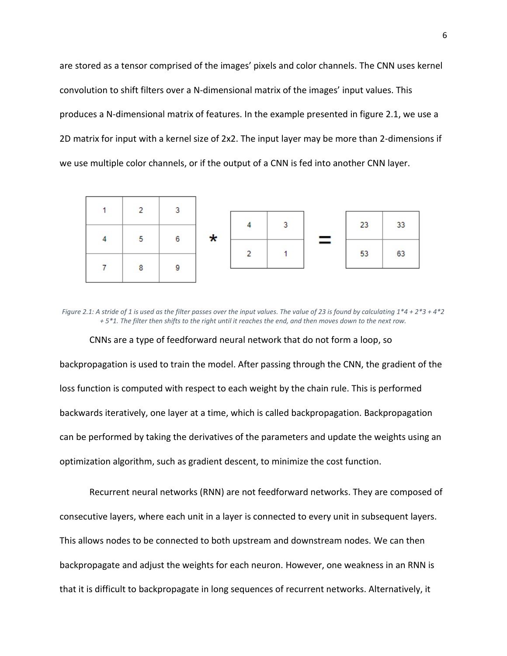are stored as a tensor comprised of the images' pixels and color channels. The CNN uses kernel convolution to shift filters over a N-dimensional matrix of the images' input values. This produces a N-dimensional matrix of features. In the example presented in figure 2.1, we use a 2D matrix for input with a kernel size of 2x2. The input layer may be more than 2-dimensions if we use multiple color channels, or if the output of a CNN is fed into another CNN layer.



*Figure 2.1: A stride of 1 is used as the filter passes over the input values. The value of 23 is found by calculating 1\*4 + 2\*3 + 4\*2 + 5\*1. The filter then shifts to the right until it reaches the end, and then moves down to the next row.*

CNNs are a type of feedforward neural network that do not form a loop, so backpropagation is used to train the model. After passing through the CNN, the gradient of the loss function is computed with respect to each weight by the chain rule. This is performed backwards iteratively, one layer at a time, which is called backpropagation. Backpropagation can be performed by taking the derivatives of the parameters and update the weights using an optimization algorithm, such as gradient descent, to minimize the cost function.

Recurrent neural networks (RNN) are not feedforward networks. They are composed of consecutive layers, where each unit in a layer is connected to every unit in subsequent layers. This allows nodes to be connected to both upstream and downstream nodes. We can then backpropagate and adjust the weights for each neuron. However, one weakness in an RNN is that it is difficult to backpropagate in long sequences of recurrent networks. Alternatively, it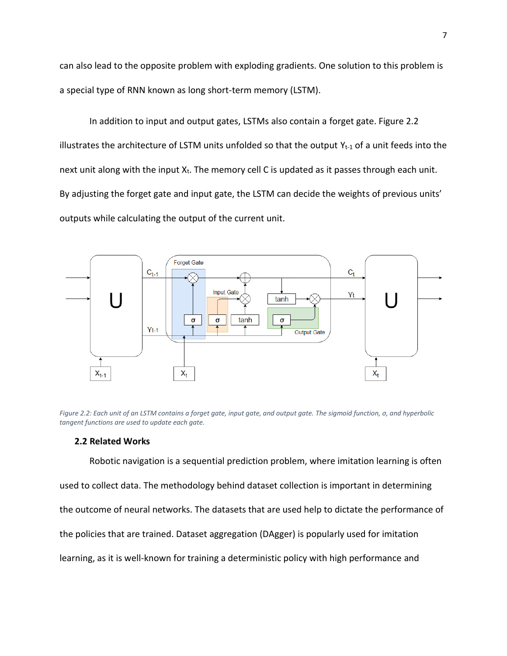can also lead to the opposite problem with exploding gradients. One solution to this problem is a special type of RNN known as long short-term memory (LSTM).

In addition to input and output gates, LSTMs also contain a forget gate. Figure 2.2 illustrates the architecture of LSTM units unfolded so that the output  $Y_{t-1}$  of a unit feeds into the next unit along with the input  $X_t$ . The memory cell C is updated as it passes through each unit. By adjusting the forget gate and input gate, the LSTM can decide the weights of previous units' outputs while calculating the output of the current unit.



*Figure 2.2: Each unit of an LSTM contains a forget gate, input gate, and output gate. The sigmoid function, σ, and hyperbolic tangent functions are used to update each gate.*

# **2.2 Related Works**

Robotic navigation is a sequential prediction problem, where imitation learning is often used to collect data. The methodology behind dataset collection is important in determining the outcome of neural networks. The datasets that are used help to dictate the performance of the policies that are trained. Dataset aggregation (DAgger) is popularly used for imitation learning, as it is well-known for training a deterministic policy with high performance and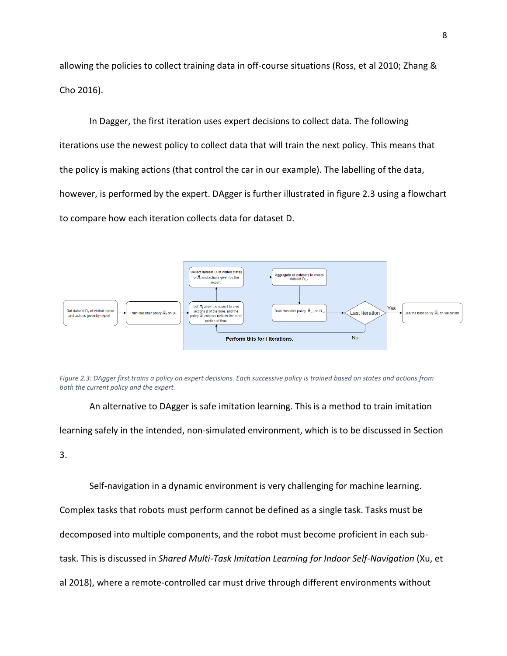allowing the policies to collect training data in off-course situations (Ross, et al 2010; Zhang & Cho 2016).

In Dagger, the first iteration uses expert decisions to collect data. The following iterations use the newest policy to collect data that will train the next policy. This means that the policy is making actions (that control the car in our example). The labelling of the data, however, is performed by the expert. DAgger is further illustrated in figure 2.3 using a flowchart to compare how each iteration collects data for dataset D.



*Figure 2.3: DAgger first trains a policy on expert decisions. Each successive policy is trained based on states and actions from both the current policy and the expert.*

An alternative to DAgger is safe imitation learning. This is a method to train imitation learning safely in the intended, non-simulated environment, which is to be discussed in Section

3.

Self-navigation in a dynamic environment is very challenging for machine learning.

Complex tasks that robots must perform cannot be defined as a single task. Tasks must be

decomposed into multiple components, and the robot must become proficient in each sub-

task. This is discussed in *Shared Multi-Task Imitation Learning for Indoor Self-Navigation* (Xu, et

al 2018), where a remote-controlled car must drive through different environments without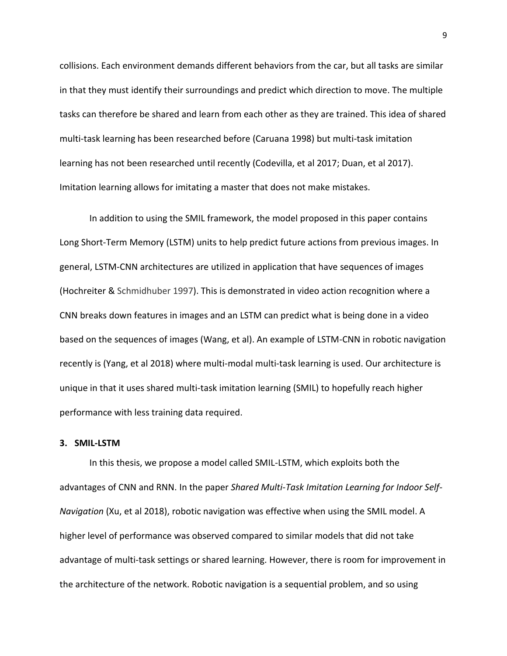collisions. Each environment demands different behaviors from the car, but all tasks are similar in that they must identify their surroundings and predict which direction to move. The multiple tasks can therefore be shared and learn from each other as they are trained. This idea of shared multi-task learning has been researched before (Caruana 1998) but multi-task imitation learning has not been researched until recently (Codevilla, et al 2017; Duan, et al 2017). Imitation learning allows for imitating a master that does not make mistakes.

In addition to using the SMIL framework, the model proposed in this paper contains Long Short-Term Memory (LSTM) units to help predict future actions from previous images. In general, LSTM-CNN architectures are utilized in application that have sequences of images (Hochreiter & Schmidhuber 1997). This is demonstrated in video action recognition where a CNN breaks down features in images and an LSTM can predict what is being done in a video based on the sequences of images (Wang, et al). An example of LSTM-CNN in robotic navigation recently is (Yang, et al 2018) where multi-modal multi-task learning is used. Our architecture is unique in that it uses shared multi-task imitation learning (SMIL) to hopefully reach higher performance with less training data required.

# **3. SMIL-LSTM**

In this thesis, we propose a model called SMIL-LSTM, which exploits both the advantages of CNN and RNN. In the paper *Shared Multi-Task Imitation Learning for Indoor Self-Navigation* (Xu, et al 2018), robotic navigation was effective when using the SMIL model. A higher level of performance was observed compared to similar models that did not take advantage of multi-task settings or shared learning. However, there is room for improvement in the architecture of the network. Robotic navigation is a sequential problem, and so using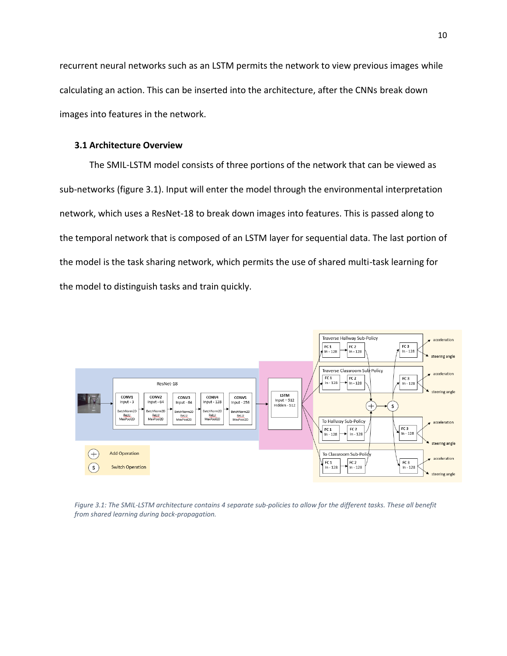recurrent neural networks such as an LSTM permits the network to view previous images while calculating an action. This can be inserted into the architecture, after the CNNs break down images into features in the network.

# **3.1 Architecture Overview**

The SMIL-LSTM model consists of three portions of the network that can be viewed as sub-networks (figure 3.1). Input will enter the model through the environmental interpretation network, which uses a ResNet-18 to break down images into features. This is passed along to the temporal network that is composed of an LSTM layer for sequential data. The last portion of the model is the task sharing network, which permits the use of shared multi-task learning for the model to distinguish tasks and train quickly.



*Figure 3.1: The SMIL-LSTM architecture contains 4 separate sub-policies to allow for the different tasks. These all benefit from shared learning during back-propagation.*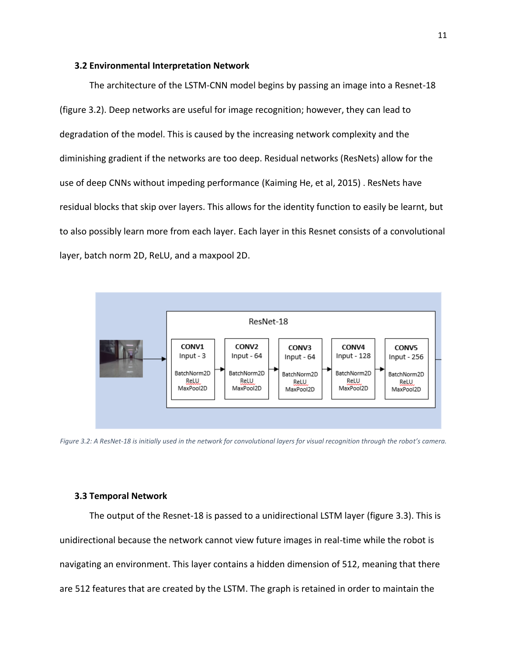#### **3.2 Environmental Interpretation Network**

The architecture of the LSTM-CNN model begins by passing an image into a Resnet-18 (figure 3.2). Deep networks are useful for image recognition; however, they can lead to degradation of the model. This is caused by the increasing network complexity and the diminishing gradient if the networks are too deep. Residual networks (ResNets) allow for the use of deep CNNs without impeding performance (Kaiming He, et al, 2015) . ResNets have residual blocks that skip over layers. This allows for the identity function to easily be learnt, but to also possibly learn more from each layer. Each layer in this Resnet consists of a convolutional layer, batch norm 2D, ReLU, and a maxpool 2D.



*Figure 3.2: A ResNet-18 is initially used in the network for convolutional layers for visual recognition through the robot's camera.*

# **3.3 Temporal Network**

The output of the Resnet-18 is passed to a unidirectional LSTM layer (figure 3.3). This is unidirectional because the network cannot view future images in real-time while the robot is navigating an environment. This layer contains a hidden dimension of 512, meaning that there are 512 features that are created by the LSTM. The graph is retained in order to maintain the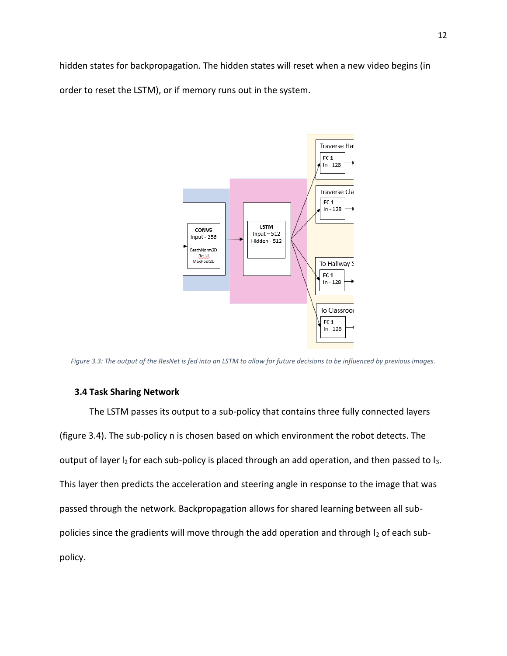hidden states for backpropagation. The hidden states will reset when a new video begins (in order to reset the LSTM), or if memory runs out in the system.



*Figure 3.3: The output of the ResNet is fed into an LSTM to allow for future decisions to be influenced by previous images.*

# **3.4 Task Sharing Network**

The LSTM passes its output to a sub-policy that contains three fully connected layers (figure 3.4). The sub-policy n is chosen based on which environment the robot detects. The output of layer  $I_2$  for each sub-policy is placed through an add operation, and then passed to  $I_3$ . This layer then predicts the acceleration and steering angle in response to the image that was passed through the network. Backpropagation allows for shared learning between all subpolicies since the gradients will move through the add operation and through  $I_2$  of each subpolicy.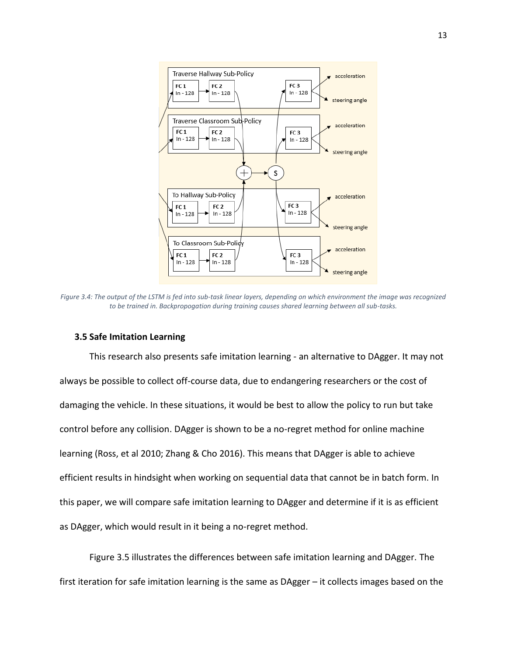

*Figure 3.4: The output of the LSTM is fed into sub-task linear layers, depending on which environment the image was recognized to be trained in. Backpropogation during training causes shared learning between all sub-tasks.*

# **3.5 Safe Imitation Learning**

This research also presents safe imitation learning - an alternative to DAgger. It may not always be possible to collect off-course data, due to endangering researchers or the cost of damaging the vehicle. In these situations, it would be best to allow the policy to run but take control before any collision. DAgger is shown to be a no-regret method for online machine learning (Ross, et al 2010; Zhang & Cho 2016). This means that DAgger is able to achieve efficient results in hindsight when working on sequential data that cannot be in batch form. In this paper, we will compare safe imitation learning to DAgger and determine if it is as efficient as DAgger, which would result in it being a no-regret method.

Figure 3.5 illustrates the differences between safe imitation learning and DAgger. The first iteration for safe imitation learning is the same as DAgger – it collects images based on the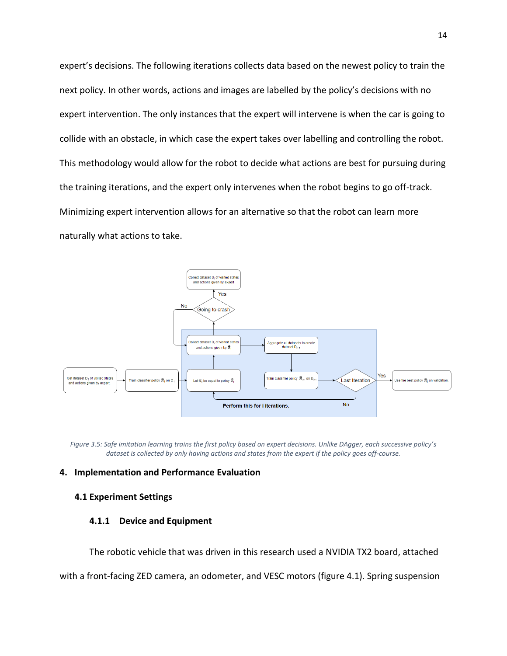expert's decisions. The following iterations collects data based on the newest policy to train the next policy. In other words, actions and images are labelled by the policy's decisions with no expert intervention. The only instances that the expert will intervene is when the car is going to collide with an obstacle, in which case the expert takes over labelling and controlling the robot. This methodology would allow for the robot to decide what actions are best for pursuing during the training iterations, and the expert only intervenes when the robot begins to go off-track. Minimizing expert intervention allows for an alternative so that the robot can learn more naturally what actions to take.



*Figure 3.5: Safe imitation learning trains the first policy based on expert decisions. Unlike DAgger, each successive policy's dataset is collected by only having actions and states from the expert if the policy goes off-course.*

### **4. Implementation and Performance Evaluation**

### **4.1 Experiment Settings**

## **4.1.1 Device and Equipment**

The robotic vehicle that was driven in this research used a NVIDIA TX2 board, attached

with a front-facing ZED camera, an odometer, and VESC motors (figure 4.1). Spring suspension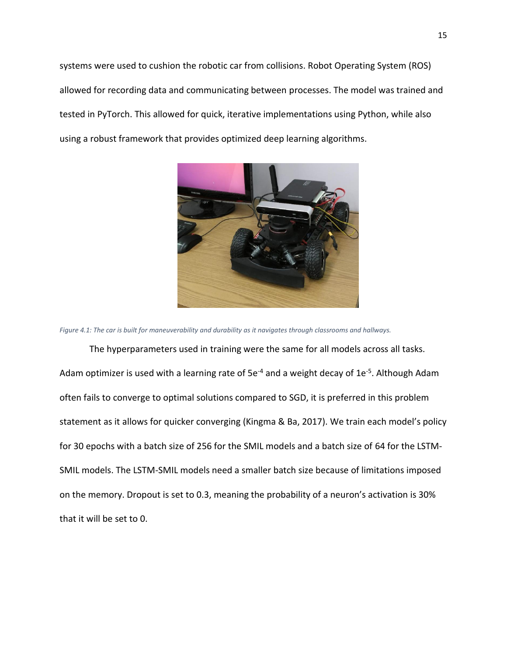systems were used to cushion the robotic car from collisions. Robot Operating System (ROS) allowed for recording data and communicating between processes. The model was trained and tested in PyTorch. This allowed for quick, iterative implementations using Python, while also using a robust framework that provides optimized deep learning algorithms.



*Figure 4.1: The car is built for maneuverability and durability as it navigates through classrooms and hallways.*

The hyperparameters used in training were the same for all models across all tasks. Adam optimizer is used with a learning rate of  $5e^{-4}$  and a weight decay of 1e<sup>-5</sup>. Although Adam often fails to converge to optimal solutions compared to SGD, it is preferred in this problem statement as it allows for quicker converging (Kingma & Ba, 2017). We train each model's policy for 30 epochs with a batch size of 256 for the SMIL models and a batch size of 64 for the LSTM-SMIL models. The LSTM-SMIL models need a smaller batch size because of limitations imposed on the memory. Dropout is set to 0.3, meaning the probability of a neuron's activation is 30% that it will be set to 0.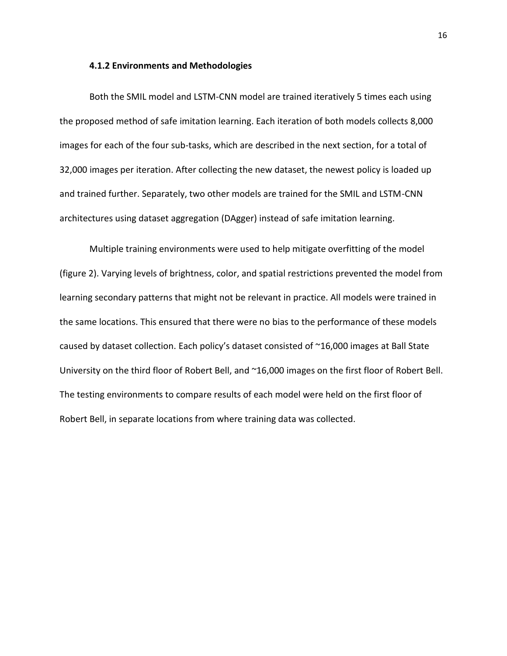#### **4.1.2 Environments and Methodologies**

Both the SMIL model and LSTM-CNN model are trained iteratively 5 times each using the proposed method of safe imitation learning. Each iteration of both models collects 8,000 images for each of the four sub-tasks, which are described in the next section, for a total of 32,000 images per iteration. After collecting the new dataset, the newest policy is loaded up and trained further. Separately, two other models are trained for the SMIL and LSTM-CNN architectures using dataset aggregation (DAgger) instead of safe imitation learning.

Multiple training environments were used to help mitigate overfitting of the model (figure 2). Varying levels of brightness, color, and spatial restrictions prevented the model from learning secondary patterns that might not be relevant in practice. All models were trained in the same locations. This ensured that there were no bias to the performance of these models caused by dataset collection. Each policy's dataset consisted of ~16,000 images at Ball State University on the third floor of Robert Bell, and ~16,000 images on the first floor of Robert Bell. The testing environments to compare results of each model were held on the first floor of Robert Bell, in separate locations from where training data was collected.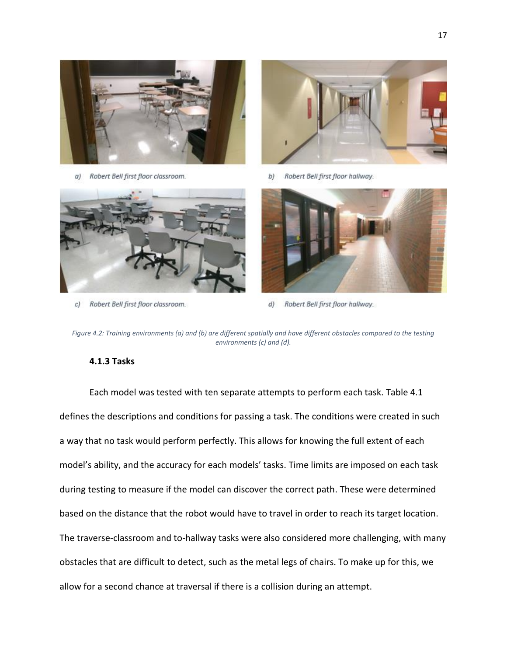



a) Robert Bell first floor classroom.



b) Robert Bell first floor hallway.



Robert Bell first floor classroom. c)



Robert Bell first floor hallway. d)

# **4.1.3 Tasks**

Each model was tested with ten separate attempts to perform each task. Table 4.1 defines the descriptions and conditions for passing a task. The conditions were created in such a way that no task would perform perfectly. This allows for knowing the full extent of each model's ability, and the accuracy for each models' tasks. Time limits are imposed on each task during testing to measure if the model can discover the correct path. These were determined based on the distance that the robot would have to travel in order to reach its target location. The traverse-classroom and to-hallway tasks were also considered more challenging, with many obstacles that are difficult to detect, such as the metal legs of chairs. To make up for this, we allow for a second chance at traversal if there is a collision during an attempt.

*Figure 4.2: Training environments (a) and (b) are different spatially and have different obstacles compared to the testing environments (c) and (d).*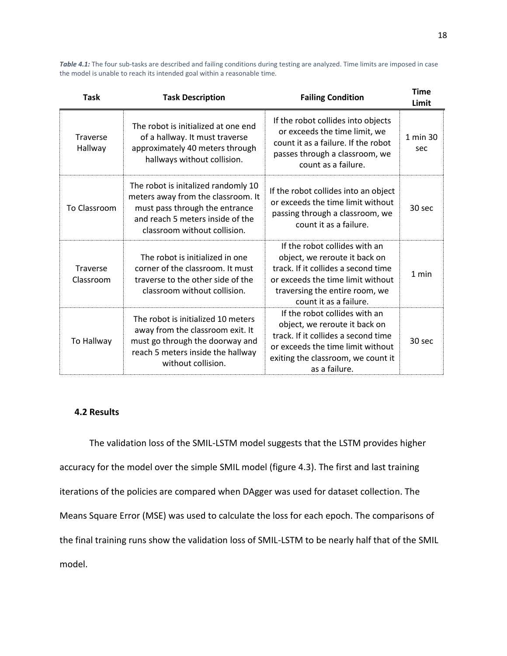*Table 4.1:* The four sub-tasks are described and failing conditions during testing are analyzed. Time limits are imposed in case the model is unable to reach its intended goal within a reasonable time.

| <b>Task</b>           | <b>Task Description</b>                                                                                                                                                         | <b>Failing Condition</b>                                                                                                                                                                               | <b>Time</b><br>Limit |
|-----------------------|---------------------------------------------------------------------------------------------------------------------------------------------------------------------------------|--------------------------------------------------------------------------------------------------------------------------------------------------------------------------------------------------------|----------------------|
| Traverse<br>Hallway   | The robot is initialized at one end<br>of a hallway. It must traverse<br>approximately 40 meters through<br>hallways without collision.                                         | If the robot collides into objects<br>or exceeds the time limit, we<br>count it as a failure. If the robot<br>passes through a classroom, we<br>count as a failure.                                    | 1 min 30<br>sec      |
| To Classroom          | The robot is initalized randomly 10<br>meters away from the classroom. It<br>must pass through the entrance<br>and reach 5 meters inside of the<br>classroom without collision. | If the robot collides into an object<br>or exceeds the time limit without<br>passing through a classroom, we<br>count it as a failure.                                                                 | 30 sec               |
| Traverse<br>Classroom | The robot is initialized in one<br>corner of the classroom. It must<br>traverse to the other side of the<br>classroom without collision.                                        | If the robot collides with an<br>object, we reroute it back on<br>track. If it collides a second time<br>or exceeds the time limit without<br>traversing the entire room, we<br>count it as a failure. | $1$ min              |
| To Hallway            | The robot is initialized 10 meters<br>away from the classroom exit. It<br>must go through the doorway and<br>reach 5 meters inside the hallway<br>without collision.            | If the robot collides with an<br>object, we reroute it back on<br>track. If it collides a second time<br>or exceeds the time limit without<br>exiting the classroom, we count it<br>as a failure.      | 30 sec               |

### **4.2 Results**

The validation loss of the SMIL-LSTM model suggests that the LSTM provides higher accuracy for the model over the simple SMIL model (figure 4.3). The first and last training iterations of the policies are compared when DAgger was used for dataset collection. The Means Square Error (MSE) was used to calculate the loss for each epoch. The comparisons of the final training runs show the validation loss of SMIL-LSTM to be nearly half that of the SMIL model.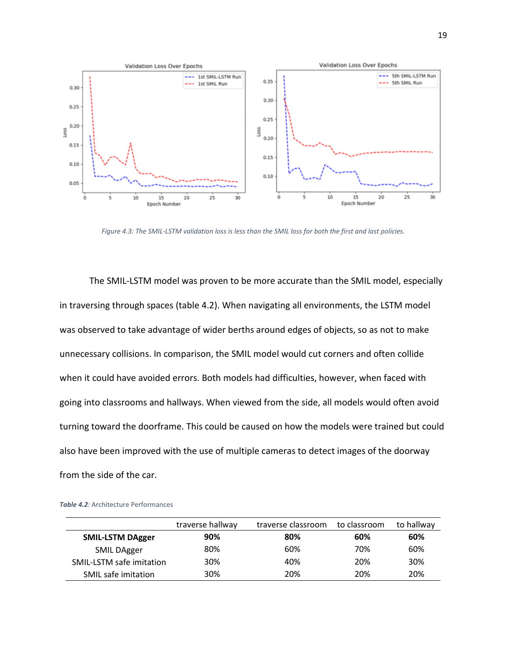

*Figure 4.3: The SMIL-LSTM validation loss is less than the SMIL loss for both the first and last policies.*

The SMIL-LSTM model was proven to be more accurate than the SMIL model, especially in traversing through spaces (table 4.2). When navigating all environments, the LSTM model was observed to take advantage of wider berths around edges of objects, so as not to make unnecessary collisions. In comparison, the SMIL model would cut corners and often collide when it could have avoided errors. Both models had difficulties, however, when faced with going into classrooms and hallways. When viewed from the side, all models would often avoid turning toward the doorframe. This could be caused on how the models were trained but could also have been improved with the use of multiple cameras to detect images of the doorway from the side of the car.

|                          | traverse hallway | traverse classroom | to classroom | to hallway |
|--------------------------|------------------|--------------------|--------------|------------|
| <b>SMIL-LSTM DAgger</b>  | 90%              | 80%                | 60%          | 60%        |
| SMIL DAgger              | 80%              | 60%                | 70%          | 60%        |
| SMIL-LSTM safe imitation | 30%              | 40%                | 20%          | 30%        |
| SMIL safe imitation      | 30%              | 20%                | 20%          | 20%        |

**Table 4.2***:* Architecture Performances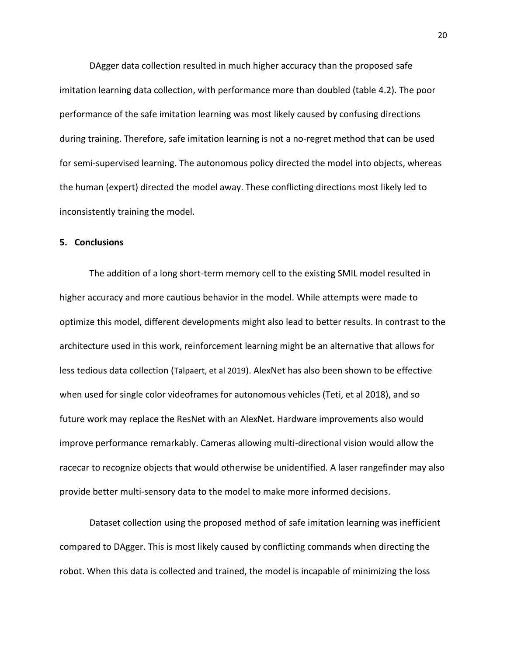DAgger data collection resulted in much higher accuracy than the proposed safe imitation learning data collection, with performance more than doubled (table 4.2). The poor performance of the safe imitation learning was most likely caused by confusing directions during training. Therefore, safe imitation learning is not a no-regret method that can be used for semi-supervised learning. The autonomous policy directed the model into objects, whereas the human (expert) directed the model away. These conflicting directions most likely led to inconsistently training the model.

### **5. Conclusions**

The addition of a long short-term memory cell to the existing SMIL model resulted in higher accuracy and more cautious behavior in the model. While attempts were made to optimize this model, different developments might also lead to better results. In contrast to the architecture used in this work, reinforcement learning might be an alternative that allows for less tedious data collection (Talpaert, et al 2019). AlexNet has also been shown to be effective when used for single color videoframes for autonomous vehicles (Teti, et al 2018), and so future work may replace the ResNet with an AlexNet. Hardware improvements also would improve performance remarkably. Cameras allowing multi-directional vision would allow the racecar to recognize objects that would otherwise be unidentified. A laser rangefinder may also provide better multi-sensory data to the model to make more informed decisions.

Dataset collection using the proposed method of safe imitation learning was inefficient compared to DAgger. This is most likely caused by conflicting commands when directing the robot. When this data is collected and trained, the model is incapable of minimizing the loss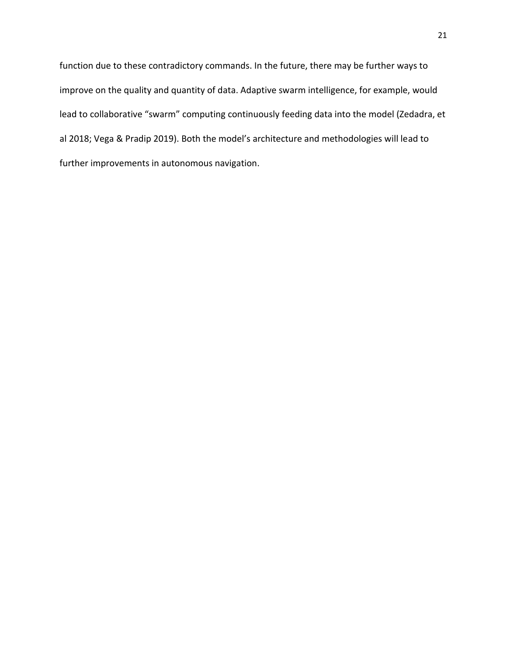function due to these contradictory commands. In the future, there may be further ways to improve on the quality and quantity of data. Adaptive swarm intelligence, for example, would lead to collaborative "swarm" computing continuously feeding data into the model (Zedadra, et al 2018; Vega & Pradip 2019). Both the model's architecture and methodologies will lead to further improvements in autonomous navigation.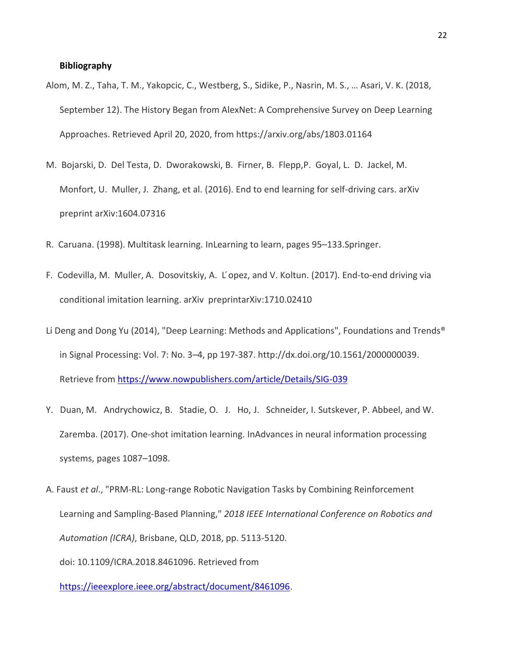# **Bibliography**

- Alom, M. Z., Taha, T. M., Yakopcic, C., Westberg, S., Sidike, P., Nasrin, M. S., … Asari, V. K. (2018, September 12). The History Began from AlexNet: A Comprehensive Survey on Deep Learning Approaches. Retrieved April 20, 2020, from https://arxiv.org/abs/1803.01164
- M. Bojarski, D. Del Testa, D. Dworakowski, B. Firner, B. Flepp,P. Goyal, L. D. Jackel, M. Monfort, U. Muller, J. Zhang, et al. (2016). End to end learning for self-driving cars. arXiv preprint arXiv:1604.07316
- R. Caruana. (1998). Multitask learning. InLearning to learn, pages 95–133.Springer.
- F. Codevilla, M. Muller, A. Dosovitskiy, A. L ́opez, and V. Koltun. (2017). End-to-end driving via conditional imitation learning. arXiv preprintarXiv:1710.02410
- Li Deng and Dong Yu (2014), "Deep Learning: Methods and Applications", Foundations and Trends® in Signal Processing: Vol. 7: No. 3–4, pp 197-387. [http://dx.doi.org/10.1561/2000000039.](http://dx.doi.org/10.1561/2000000039) Retrieve from<https://www.nowpublishers.com/article/Details/SIG-039>
- Y. Duan, M. Andrychowicz, B. Stadie, O. J. Ho, J. Schneider, I. Sutskever, P. Abbeel, and W. Zaremba. (2017). One-shot imitation learning. InAdvances in neural information processing systems, pages 1087–1098.
- A. Faust *et al*., "PRM-RL: Long-range Robotic Navigation Tasks by Combining Reinforcement Learning and Sampling-Based Planning," *2018 IEEE International Conference on Robotics and Automation (ICRA)*, Brisbane, QLD, 2018, pp. 5113-5120.

doi: 10.1109/ICRA.2018.8461096. Retrieved from

[https://ieeexplore.ieee.org/abstract/document/8461096.](https://ieeexplore.ieee.org/abstract/document/8461096)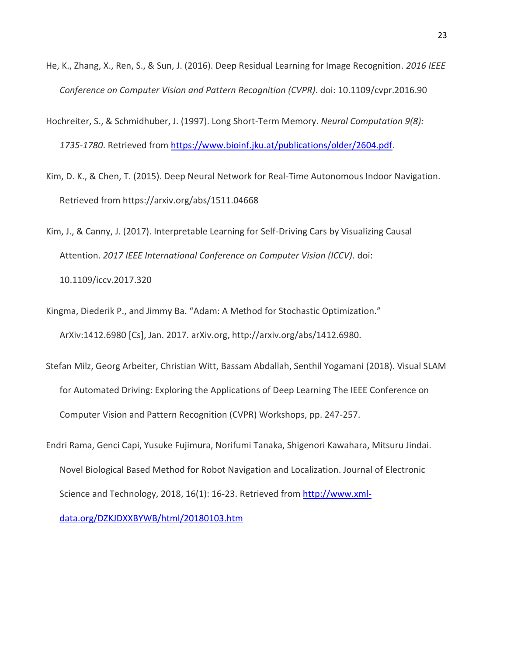- He, K., Zhang, X., Ren, S., & Sun, J. (2016). Deep Residual Learning for Image Recognition. *2016 IEEE Conference on Computer Vision and Pattern Recognition (CVPR)*. doi: 10.1109/cvpr.2016.90
- Hochreiter, S., & Schmidhuber, J. (1997). Long Short-Term Memory. *Neural Computation 9(8): 1735-1780*. Retrieved from [https://www.bioinf.jku.at/publications/older/2604.pdf.](https://www.bioinf.jku.at/publications/older/2604.pdf)
- Kim, D. K., & Chen, T. (2015). Deep Neural Network for Real-Time Autonomous Indoor Navigation. Retrieved from https://arxiv.org/abs/1511.04668
- Kim, J., & Canny, J. (2017). Interpretable Learning for Self-Driving Cars by Visualizing Causal Attention. *2017 IEEE International Conference on Computer Vision (ICCV)*. doi: 10.1109/iccv.2017.320
- Kingma, Diederik P., and Jimmy Ba. "Adam: A Method for Stochastic Optimization." ArXiv:1412.6980 [Cs], Jan. 2017. arXiv.org, http://arxiv.org/abs/1412.6980.
- Stefan Milz, Georg Arbeiter, Christian Witt, Bassam Abdallah, Senthil Yogamani (2018). Visual SLAM for Automated Driving: Exploring the Applications of Deep Learning The IEEE Conference on Computer Vision and Pattern Recognition (CVPR) Workshops, pp. 247-257.
- Endri Rama, Genci Capi, Yusuke Fujimura, Norifumi Tanaka, Shigenori Kawahara, Mitsuru Jindai. Novel Biological Based Method for Robot Navigation and Localization. Journal of Electronic Science and Technology, 2018, 16(1): 16-23. Retrieved fro[m http://www.xml-](http://www.xml-data.org/DZKJDXXBYWB/html/20180103.htm)

[data.org/DZKJDXXBYWB/html/20180103.htm](http://www.xml-data.org/DZKJDXXBYWB/html/20180103.htm)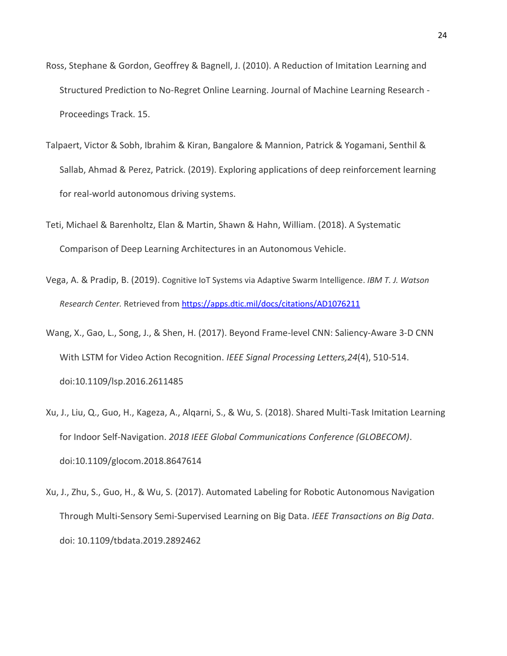- Ross, Stephane & Gordon, Geoffrey & Bagnell, J. (2010). A Reduction of Imitation Learning and Structured Prediction to No-Regret Online Learning. Journal of Machine Learning Research - Proceedings Track. 15.
- Talpaert, Victor & Sobh, Ibrahim & Kiran, Bangalore & Mannion, Patrick & Yogamani, Senthil & Sallab, Ahmad & Perez, Patrick. (2019). Exploring applications of deep reinforcement learning for real-world autonomous driving systems.
- Teti, Michael & Barenholtz, Elan & Martin, Shawn & Hahn, William. (2018). A Systematic Comparison of Deep Learning Architectures in an Autonomous Vehicle.
- Vega, A. & Pradip, B. (2019). Cognitive IoT Systems via Adaptive Swarm Intelligence. *IBM T. J. Watson Research Center.* Retrieved fro[m https://apps.dtic.mil/docs/citations/AD1076211](https://apps.dtic.mil/docs/citations/AD1076211)
- Wang, X., Gao, L., Song, J., & Shen, H. (2017). Beyond Frame-level CNN: Saliency-Aware 3-D CNN With LSTM for Video Action Recognition. *IEEE Signal Processing Letters,24*(4), 510-514. doi:10.1109/lsp.2016.2611485
- Xu, J., Liu, Q., Guo, H., Kageza, A., Alqarni, S., & Wu, S. (2018). Shared Multi-Task Imitation Learning for Indoor Self-Navigation. *2018 IEEE Global Communications Conference (GLOBECOM)*. doi:10.1109/glocom.2018.8647614
- Xu, J., Zhu, S., Guo, H., & Wu, S. (2017). Automated Labeling for Robotic Autonomous Navigation Through Multi-Sensory Semi-Supervised Learning on Big Data. *IEEE Transactions on Big Data*. doi: 10.1109/tbdata.2019.2892462